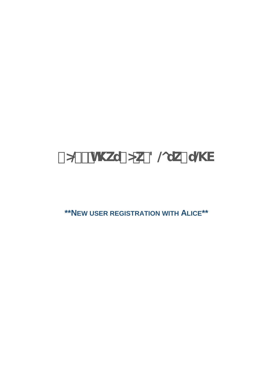# ° 0 #- h\ku° 0 k-8 @uk° u & V

\*\*NEW USER REGISTRATION WITH ALICE\*\*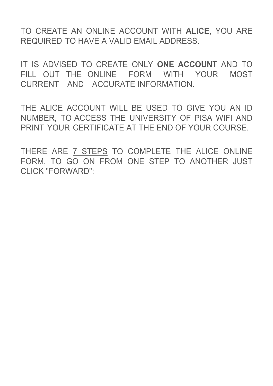TO CREATE AN ONLINE ACCOUNT WITH **ALICE**, YOU ARE REQUIRED TO HAVE A VALID EMAIL ADDRESS.

IT IS ADVISED TO CREATE ONLY **ONE ACCOUNT** AND TO FILL OUT THE ONLINE FORM WITH YOUR MOST CURRENT AND ACCURATE INFORMATION.

[THE ALICE ACCOUNT WILL BE USED](https://www.studenti.unipi.it/Home.do?cod_lingua=eng) TO GIVE YOU AN ID NUMBER, TO ACCESS THE UNIVERSITY OF PISA WIFI AND PRINT YOUR CERTIFICATE AT THE END OF YOUR COURSE.

THERE ARE 7 STEPS TO COMPLETE THE ALICE ONLINE FORM, TO GO ON FROM ONE STEP TO ANOTHER JUST CLICK "FORWARD":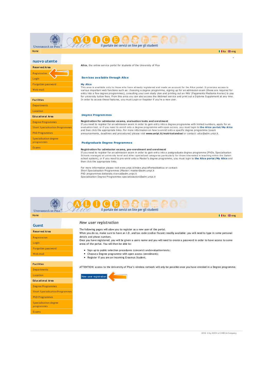

I I ita EBeng

| nuovo utente         |  |
|----------------------|--|
| <b>Reserved Area</b> |  |
| Registration         |  |
| Login                |  |
| Forgotten password   |  |
| Web mail             |  |

| <b>Facilities</b>                      |
|----------------------------------------|
| <b>Departments</b>                     |
| Location                               |
| <b>Educational Area</b>                |
| <b>Degree Programmes</b>               |
| <b>Short Specialisation Programmes</b> |
| <b>PhD Programmes</b>                  |
| Specialisation degree<br>programmes    |
| Exams                                  |

programmes Exams

#### Alice, the online service portal for students of the University of Pisa

## Services available through Alice

#### **My Alice**

my Article area is available only to those who have already registered and made an account for the Alice portal. It provides access to various important web functions such as: choosing a degree programme, signing up for an

## Degree Programmes

#### Registration for admission exams, evaluation tests and enrolment

Next a control of the distribution of the state of the state of the state of the state of the state of the state of the experiment of the and then client the experiment exist and then client experiments are evaluation test announcements, deadlines and procedures) please visit www.unipi.it/matricolandosi or contact: alice@adm.unipi.it.

## Postgraduate Degree Programmes

## Registration for admission exams, pre-enrolment and enrolment

Next a countrival and the register for an admission exam in order to gain entry into a postgraduate degree programme (PhDs, Specialisation<br>Schools managed at university level and other specialized categories particularly f then click the appropriate links.

For more information please visit www.unipi.it/index.php/offertadidattica or contact: Short Specialisation Programmes (Master) master@adm.unipi.it<br>PhD programmes dottorato.ricerca@adm.unipi.it Specialisation Degree Programmes specializzazioni@adm.unipi.it

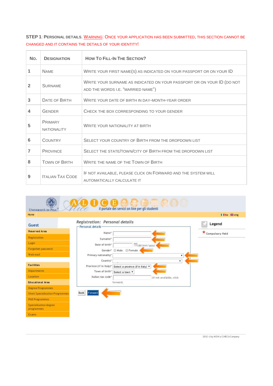**STEP 1**: **PERSONAL DETAILS**. WARNING: ONCE YOUR APPLICATION HAS BEEN SUBMITTED, THIS SECTION CANNOT BE CHANGED AND IT CONTAINS THE DETAILS OF YOUR IDENTITY!

| No.            | <b>DESIGNATION</b>                   | <b>HOW TO FILL-IN THE SECTION?</b>                                                                           |
|----------------|--------------------------------------|--------------------------------------------------------------------------------------------------------------|
| 1              | <b>NAME</b>                          | WRITE YOUR FIRST NAME(S) AS INDICATED ON YOUR PASSPORT OR ON YOUR ID                                         |
| $\overline{2}$ | <b>SURNAME</b>                       | WRITE YOUR SURNAME AS INDICATED ON YOUR PASSPORT OR ON YOUR ID (DO NOT<br>ADD THE WORDS I.E. "MARRIED NAME") |
| 3              | <b>DATE OF BIRTH</b>                 | WRITE YOUR DATE OF BIRTH IN DAY-MONTH-YEAR ORDER                                                             |
| 4              | <b>GENDER</b>                        | CHECK THE BOX CORRESPONDING TO YOUR GENDER                                                                   |
| 5              | <b>PRIMARY</b><br><b>NATIONALITY</b> | <b>WRITE YOUR NATIONALITY AT BIRTH</b>                                                                       |
| 6              | <b>COUNTRY</b>                       | SELECT YOUR COUNTRY OF BIRTH FROM THE DROPDOWN LIST                                                          |
| 7              | <b>PROVINCE</b>                      | SELECT THE STATE/TOWN/CITY OF BIRTH FROM THE DROPDOWN LIST                                                   |
| 8              | <b>TOWN OF BIRTH</b>                 | WRITE THE NAME OF THE TOWN OF BIRTH                                                                          |
| 9              | <b>ITALIAN TAX CODE</b>              | IF NOT AVAILABLE, PLEASE CLICK ON FORWARD AND THE SYSTEM WILL<br>AUTOMATICALLY CALCULATE IT                  |

| <b>UNIVERSITÀ DI PISA</b>              | il portale dei servizi on line per gli studenti           |                       |
|----------------------------------------|-----------------------------------------------------------|-----------------------|
| Home                                   |                                                           | <b>Ⅱ I</b> ita 德eng   |
| <b>Guest</b>                           | Registration: Personal details<br>- Personal details-     | Legend                |
| <b>Reserved Area</b>                   | Name*                                                     | *<br>Compulsory field |
| Registration                           | Surname*                                                  |                       |
| Login                                  | Date of birth*<br>(dd/mm/yyyy)                            |                       |
| Forgotten password                     | Male Female<br>Gender*                                    |                       |
| Web mail                               | Primary nationality*                                      |                       |
|                                        | Country*<br>۰                                             |                       |
| <b>Facilities</b>                      | Province (if in Italy)* Select a province (if in Italy) ▼ |                       |
| <b>Departments</b>                     | Town of birth <sup>*</sup> Select a town ▼                |                       |
| Location                               | Italian tax code*<br>(if not available, click             |                       |
| <b>Educational Area</b>                | forward)                                                  |                       |
| <b>Degree Programmes</b>               |                                                           |                       |
| <b>Short Specialisation Programmes</b> | <b>Back</b><br>Forward                                    |                       |
| <b>PhD Programmes</b>                  |                                                           |                       |
| Specialisation degree<br>programmes    |                                                           |                       |
| Exams                                  |                                                           |                       |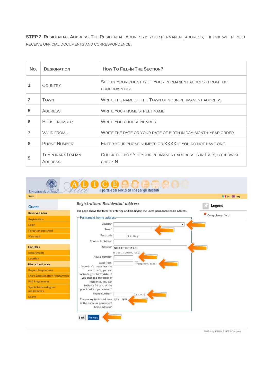**STEP 2**: **RESIDENTIAL ADDRESS.** THE RESIDENTIAL ADDRESS IS YOUR PERMANENT ADDRESS, THE ONE WHERE YOU RECEIVE OFFICIAL DOCUMENTS AND CORRESPONDENCE.

| No.            | <b>DESIGNATION</b>                  | <b>HOW TO FILL-IN THE SECTION?</b>                                                 |
|----------------|-------------------------------------|------------------------------------------------------------------------------------|
| 1              | <b>COUNTRY</b>                      | SELECT YOUR COUNTRY OF YOUR PERMANENT ADDRESS FROM THE<br><b>DROPDOWN LIST</b>     |
| $\overline{2}$ | <b>TOWN</b>                         | WRITE THE NAME OF THE TOWN OF YOUR PERMANENT ADDRESS                               |
| 5              | <b>ADDRESS</b>                      | WRITE YOUR HOME STREET NAME                                                        |
| 6              | <b>HOUSE NUMBER</b>                 | <b>WRITE YOUR HOUSE NUMBER</b>                                                     |
|                | VALID FROM                          | WRITE THE DATE OR YOUR DATE OF BIRTH IN DAY-MONTH-YEAR ORDER                       |
| 8              | <b>PHONE NUMBER</b>                 | ENTER YOUR PHONE NUMBER OR XXXX IF YOU DO NOT HAVE ONE                             |
| 9              | <b>TEMPORARY ITALIAN</b><br>ADDRESS | CHECK THE BOX Y IF YOUR PERMANENT ADDRESS IS IN ITALY, OTHERWISE<br><b>CHECK N</b> |



2012 Oby KION a CINECA Company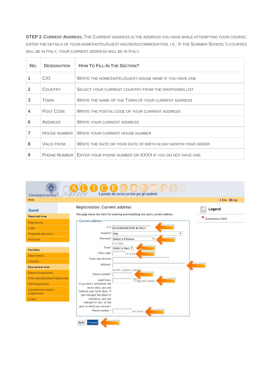**STEP 3**: **CURRENT ADDRESS.** THE CURRENT ADDRESS IS THE ADDRESS YOU HAVE WHILE ATTEMPTING YOUR COURSE; ENTER THE DETAILS OF YOUR HOME/HOTEL/GUEST HOUSE/ACCOMMODATION. I.E.: IF THE SUMMER SCHOOL'S COURSES WILL BE IN ITALY, YOUR CURRENT ADDRESS WILL BE IN ITALY.

| No.            | <b>DESIGNATION</b> | <b>HOW TO FILL-IN THE SECTION?</b>                                    |
|----------------|--------------------|-----------------------------------------------------------------------|
|                | C/O                | WRITE THE HOME/HOTEL/GUEST HOUSE NAME IF YOU HAVE ONE                 |
| $\overline{2}$ | <b>COUNTRY</b>     | SELECT YOUR CURRENT COUNTRY FROM THE DROPDOWN LIST                    |
| 3              | <b>TOWN</b>        | WRITE THE NAME OF THE TOWN OF YOUR CURRENT ADDRESS                    |
|                | POST CODE          | WRITE THE POSTAL CODE OF YOUR CURRENT ADDRESS                         |
| 6              | <b>ADDRESS</b>     | <b>WRITE YOUR CURRENT ADDRESS</b>                                     |
|                | HOUSE NUMBER       | WRITE YOUR CURRENT HOUSE NUMBER                                       |
| 8              | VALID FROM         | WRITE THE DATE OR YOUR DATE OF BIRTH IN DAY-MONTH-YEAR ORDER          |
| 9              |                    | PHONE NUMBER   ENTER YOUR PHONE NUMBER OR XXXX IF YOU DO NOT HAVE ONE |

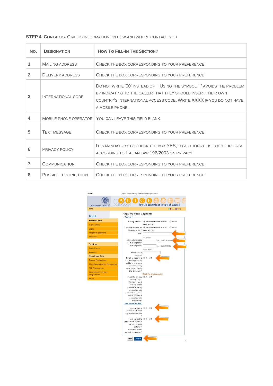**STEP 4**: **CONTACTS.** GIVE US INFORMATION ON HOW AND WHERE CONTACT YOU

| No.          | <b>DESIGNATION</b>           | <b>HOW TO FILL-IN THE SECTION?</b>                                                                                                                                                                                               |  |
|--------------|------------------------------|----------------------------------------------------------------------------------------------------------------------------------------------------------------------------------------------------------------------------------|--|
| 1            | <b>MAILING ADDRESS</b>       | CHECK THE BOX CORRESPONDING TO YOUR PREFERENCE                                                                                                                                                                                   |  |
| $\mathbf{2}$ | <b>DELIVERY ADDRESS</b>      | CHECK THE BOX CORRESPONDING TO YOUR PREFERENCE                                                                                                                                                                                   |  |
| 3            | INTERNATIONAL CODE           | DO NOT WRITE '00' INSTEAD OF + USING THE SYMBOL '+' AVOIDS THE PROBLEM<br>BY INDICATING TO THE CALLER THAT THEY SHOULD INSERT THEIR OWN<br>COUNTRY'S INTERNATIONAL ACCESS CODE. WRITE XXXX IF YOU DO NOT HAVE<br>A MOBILE PHONE. |  |
| 4            | <b>MOBILE PHONE OPERATOR</b> | YOU CAN LEAVE THIS FIELD BLANK                                                                                                                                                                                                   |  |
| 5            | <b>TEXT MESSAGE</b>          | CHECK THE BOX CORRESPONDING TO YOUR PREFERENCE                                                                                                                                                                                   |  |
| 6            | PRIVACY POLICY               | IT IS MANDATORY TO CHECK THE BOX YES, TO AUTHORIZE USE OF YOUR DATA<br>ACCORDING TO ITALIAN LAW 196/2003 ON PRIVACY.                                                                                                             |  |
| 7            | <b>COMMUNICATION</b>         | CHECK THE BOX CORRESPONDING TO YOUR PREFERENCE                                                                                                                                                                                   |  |
| 8            | POSSIBLE DISTRIBUTION        | CHECK THE BOX CORRESPONDING TO YOUR PREFERENCE                                                                                                                                                                                   |  |

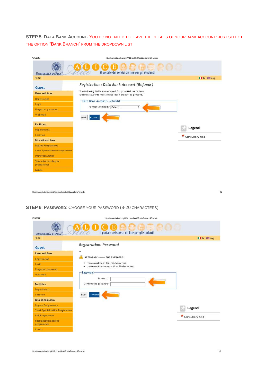**STEP 5**: **DATA BANK ACCOUNT.** YOU DO NOT NEED TO LEAVE THE DETAILS OF YOUR BANK ACCOUNT: JUST SELECT THE OPTION "BANK BRANCH" FROM THE DROPDOWN LIST.

| Home                                                            |                                                                                                                        | Il ita 第eng      |
|-----------------------------------------------------------------|------------------------------------------------------------------------------------------------------------------------|------------------|
| Guest                                                           | Registration: Data Bank Account (Refunds)                                                                              |                  |
| <b>Reserved Area</b>                                            | The following fields are required for potential tax refunds.<br>Erasmus students must select "Bank branch" to proceed. |                  |
| Registration                                                    | -Data Bank Account (Refunds)-                                                                                          |                  |
| Login                                                           |                                                                                                                        |                  |
| Forgotten password                                              | Payment methods* Select<br>۰                                                                                           |                  |
| Web mail                                                        | <b>Back</b><br>Forward                                                                                                 |                  |
|                                                                 |                                                                                                                        |                  |
| <b>Facilities</b>                                               |                                                                                                                        | Legend           |
| <b>Departments</b>                                              |                                                                                                                        |                  |
| Location                                                        |                                                                                                                        | Compulsory field |
| <b>Educational Area</b>                                         |                                                                                                                        |                  |
| <b>Degree Programmes</b>                                        |                                                                                                                        |                  |
| <b>Short Specialisation Programmes</b><br><b>PhD Programmes</b> |                                                                                                                        |                  |
| Specialisation degree<br>programmes                             |                                                                                                                        |                  |
| Exams                                                           |                                                                                                                        |                  |

**STEP 6**: **PASSWORD**: CHOOSE YOUR PASSWORD (8-20 CHARACTERS)

| 13/5/2015                              | https://www.studenti.unipi.it/AddressBook/SceltaPasswordForm.do |
|----------------------------------------|-----------------------------------------------------------------|
| <b>UNIVERSITÀ DI PISA</b>              | il portale dei servizi on line per gli studenti                 |
| Home                                   | I lita 第 eng                                                    |
| Guest                                  | Registration: Password                                          |
| <b>Reserved Area</b>                   | $\sim$                                                          |
| Registration                           | ATTENTION  THE PASSWORD:                                        |
| Login                                  | • there must be at least 8 characters                           |
| Forgotten password                     | . there must be no more than 20 characters                      |
| Web mail                               | - Password                                                      |
|                                        | Password*                                                       |
| <b>Facilities</b>                      | Confirm the password*                                           |
| <b>Departments</b>                     |                                                                 |
| Location                               | <b>Back</b><br>Forward                                          |
| <b>Educational Area</b>                |                                                                 |
| <b>Degree Programmes</b>               |                                                                 |
| <b>Short Specialisation Programmes</b> | Legend                                                          |
| <b>PhD Programmes</b>                  | Compulsory field                                                |
| Specialisation degree<br>programmes    |                                                                 |
| <b>Exams</b>                           |                                                                 |